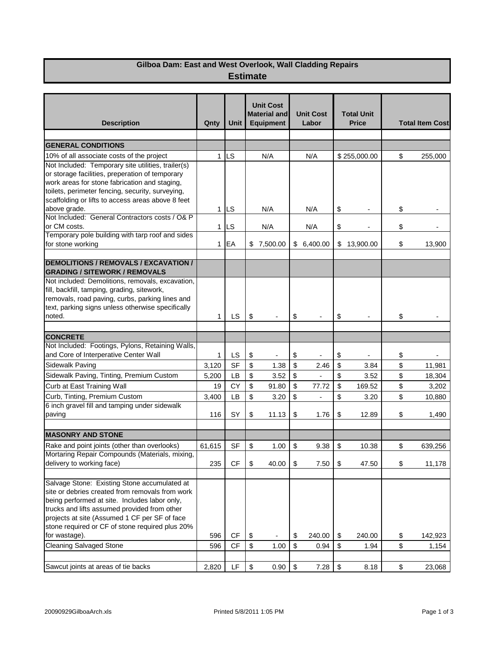## **Gilboa Dam: East and West Overlook, Wall Cladding Repairs Estimate**

| <b>Description</b>                                                                                                                                                                                                                                                                                   | Qnty         | <b>Unit</b> |                           | <b>Unit Cost</b><br><b>Material and</b><br><b>Equipment</b> |                           | <b>Unit Cost</b><br>Labor | <b>Total Unit</b><br><b>Price</b> |                          | <b>Total Item Cost</b> |                          |
|------------------------------------------------------------------------------------------------------------------------------------------------------------------------------------------------------------------------------------------------------------------------------------------------------|--------------|-------------|---------------------------|-------------------------------------------------------------|---------------------------|---------------------------|-----------------------------------|--------------------------|------------------------|--------------------------|
| <b>GENERAL CONDITIONS</b>                                                                                                                                                                                                                                                                            |              |             |                           |                                                             |                           |                           |                                   |                          |                        |                          |
|                                                                                                                                                                                                                                                                                                      |              |             |                           |                                                             |                           |                           |                                   |                          |                        |                          |
| 10% of all associate costs of the project                                                                                                                                                                                                                                                            | $\mathbf 1$  | LS          |                           | N/A                                                         |                           | N/A                       |                                   | \$255,000.00             | \$                     | 255,000                  |
| Not Included: Temporary site utilities, trailer(s)<br>or storage facilities, preperation of temporary<br>work areas for stone fabrication and staging,<br>toilets, perimeter fencing, security, surveying,<br>scaffolding or lifts to access areas above 8 feet                                      |              |             |                           |                                                             |                           |                           |                                   |                          |                        |                          |
| above grade.                                                                                                                                                                                                                                                                                         |              | $1$ ILS     |                           | N/A                                                         |                           | N/A                       | \$                                |                          | \$                     |                          |
| Not Included: General Contractors costs / O& P<br>or CM costs.                                                                                                                                                                                                                                       |              | $1$ ILS     |                           | N/A                                                         | N/A                       |                           | \$                                | $\overline{\phantom{a}}$ | \$                     | $\overline{\phantom{0}}$ |
| Temporary pole building with tarp roof and sides                                                                                                                                                                                                                                                     |              |             |                           |                                                             |                           |                           |                                   |                          |                        |                          |
| for stone working                                                                                                                                                                                                                                                                                    | 1            | EA          |                           | \$7,500.00                                                  |                           | \$6,400.00                |                                   | \$13,900.00              | \$                     | 13,900                   |
| <b>DEMOLITIONS / REMOVALS / EXCAVATION /</b><br><b>GRADING / SITEWORK / REMOVALS</b>                                                                                                                                                                                                                 |              |             |                           |                                                             |                           |                           |                                   |                          |                        |                          |
| Not included: Demolitions, removals, excavation,<br>fill, backfill, tamping, grading, sitework,<br>removals, road paving, curbs, parking lines and<br>text, parking signs unless otherwise specifically<br>noted.                                                                                    | 1            | LS          | \$                        |                                                             | \$                        |                           | \$                                |                          | \$                     |                          |
| <b>CONCRETE</b>                                                                                                                                                                                                                                                                                      |              |             |                           |                                                             |                           |                           |                                   |                          |                        |                          |
| Not Included: Footings, Pylons, Retaining Walls,<br>and Core of Interperative Center Wall                                                                                                                                                                                                            | 1            | LS          | \$                        |                                                             | \$                        |                           | \$                                |                          | \$                     |                          |
| Sidewalk Paving                                                                                                                                                                                                                                                                                      | 3,120        | <b>SF</b>   | $\boldsymbol{\mathsf{S}}$ | 1.38                                                        | $\boldsymbol{\mathsf{S}}$ | 2.46                      | $$\mathfrak{s}$$                  | 3.84                     | \$                     | 11,981                   |
| Sidewalk Paving, Tinting, Premium Custom                                                                                                                                                                                                                                                             | 5,200        | <b>LB</b>   | \$                        | 3.52                                                        | \$                        | $\frac{1}{2}$             | \$                                | 3.52                     | \$                     | 18,304                   |
| Curb at East Training Wall                                                                                                                                                                                                                                                                           | 19           | <b>CY</b>   | \$                        | 91.80                                                       | \$                        | 77.72                     | \$                                | 169.52                   | \$                     | 3,202                    |
| Curb, Tinting, Premium Custom                                                                                                                                                                                                                                                                        |              | LB          | \$                        |                                                             | \$                        | $\overline{a}$            |                                   |                          | \$                     |                          |
| 6 inch gravel fill and tamping under sidewalk                                                                                                                                                                                                                                                        | 3,400<br>116 | SY          |                           | 3.20                                                        | \$                        | 1.76                      | \$<br>\$                          | 3.20                     |                        | 10,880                   |
| paving                                                                                                                                                                                                                                                                                               |              |             | \$                        | 11.13                                                       |                           |                           |                                   | 12.89                    | \$                     | 1,490                    |
| <b>MASONRY AND STONE</b>                                                                                                                                                                                                                                                                             |              |             |                           |                                                             |                           |                           |                                   |                          |                        |                          |
| Rake and point joints (other than overlooks)                                                                                                                                                                                                                                                         | 61,615       | <b>SF</b>   | \$                        | 1.00                                                        | \$                        | 9.38                      | \$                                | 10.38                    | \$                     | 639,256                  |
| Mortaring Repair Compounds (Materials, mixing,<br>delivery to working face)                                                                                                                                                                                                                          | 235          | <b>CF</b>   | \$                        | 40.00                                                       | $\$\$                     | 7.50                      | \$                                | 47.50                    | \$                     | 11,178                   |
|                                                                                                                                                                                                                                                                                                      |              |             |                           |                                                             |                           |                           |                                   |                          |                        |                          |
| Salvage Stone: Existing Stone accumulated at<br>site or debries created from removals from work<br>being performed at site. Includes labor only,<br>trucks and lifts assumed provided from other<br>projects at site (Assumed 1 CF per SF of face<br>stone required or CF of stone required plus 20% |              |             |                           |                                                             |                           |                           |                                   |                          |                        |                          |
| for wastage).                                                                                                                                                                                                                                                                                        | 596          | CF          | \$                        |                                                             | \$                        | 240.00                    | \$                                | 240.00                   | \$                     | 142,923                  |
| <b>Cleaning Salvaged Stone</b>                                                                                                                                                                                                                                                                       | 596          | CF          | $\,$                      | 1.00                                                        | $$\mathfrak{s}$$          | 0.94                      | $$\mathfrak{s}$$                  | 1.94                     | \$                     | 1,154                    |
| Sawcut joints at areas of tie backs                                                                                                                                                                                                                                                                  | 2,820        | LF          | \$                        | 0.90                                                        | \$                        | 7.28                      | $\,$                              | 8.18                     | \$                     | 23,068                   |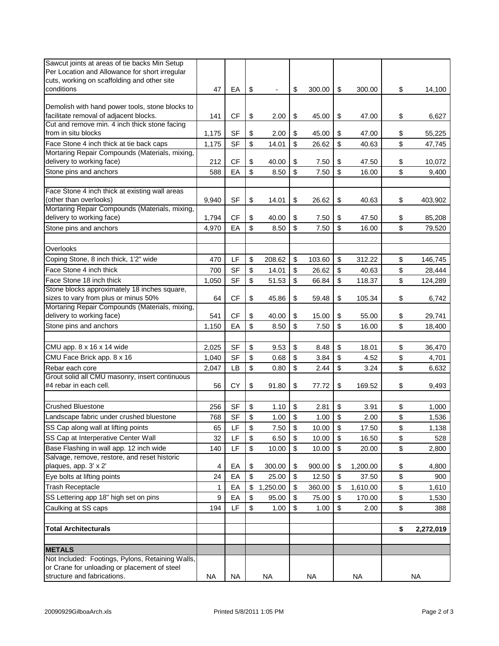| Sawcut joints at areas of tie backs Min Setup                         |       |           |          |          |              |                |                 |
|-----------------------------------------------------------------------|-------|-----------|----------|----------|--------------|----------------|-----------------|
| Per Location and Allowance for short irregular                        |       |           |          |          |              |                |                 |
| cuts, working on scaffolding and other site                           |       |           |          |          |              |                |                 |
| conditions                                                            | 47    | EA        | \$       |          | \$<br>300.00 | \$<br>300.00   | \$<br>14,100    |
| Demolish with hand power tools, stone blocks to                       |       |           |          |          |              |                |                 |
| facilitate removal of adjacent blocks.                                | 141   | CF        | \$       | 2.00     | \$<br>45.00  | \$<br>47.00    | \$<br>6,627     |
| Cut and remove min. 4 inch thick stone facing                         |       |           |          |          |              |                |                 |
| from in situ blocks                                                   | 1,175 | <b>SF</b> | \$       | 2.00     | \$<br>45.00  | \$<br>47.00    | \$<br>55,225    |
| Face Stone 4 inch thick at tie back caps                              | 1,175 | <b>SF</b> | \$       | 14.01    | \$<br>26.62  | \$<br>40.63    | \$<br>47,745    |
| Mortaring Repair Compounds (Materials, mixing,                        |       |           |          |          |              |                |                 |
| delivery to working face)                                             | 212   | <b>CF</b> | \$       | 40.00    | \$<br>7.50   | \$<br>47.50    | \$<br>10,072    |
| Stone pins and anchors                                                | 588   | EA        | \$       | 8.50     | \$<br>7.50   | \$<br>16.00    | \$<br>9,400     |
|                                                                       |       |           |          |          |              |                |                 |
| Face Stone 4 inch thick at existing wall areas                        |       |           |          |          |              |                |                 |
| (other than overlooks)                                                | 9,940 | <b>SF</b> | \$       | 14.01    | \$<br>26.62  | \$<br>40.63    | \$<br>403,902   |
| Mortaring Repair Compounds (Materials, mixing,                        |       |           |          |          |              |                |                 |
| delivery to working face)                                             | 1,794 | <b>CF</b> | \$       | 40.00    | \$<br>7.50   | \$<br>47.50    | \$<br>85,208    |
| Stone pins and anchors                                                | 4,970 | EA        | \$       | 8.50     | \$<br>7.50   | \$<br>16.00    | \$<br>79,520    |
|                                                                       |       |           |          |          |              |                |                 |
| Overlooks                                                             |       |           |          |          |              |                |                 |
| Coping Stone, 8 inch thick, 1'2" wide                                 | 470   | LF        | \$       | 208.62   | \$<br>103.60 | \$<br>312.22   | \$<br>146,745   |
| Face Stone 4 inch thick                                               | 700   | <b>SF</b> | \$       | 14.01    | \$<br>26.62  | \$<br>40.63    | \$<br>28,444    |
| Face Stone 18 inch thick                                              |       |           |          |          |              |                |                 |
| Stone blocks approximately 18 inches square,                          | 1,050 | <b>SF</b> | \$       | 51.53    | \$<br>66.84  | \$<br>118.37   | \$<br>124,289   |
| sizes to vary from plus or minus 50%                                  | 64    | CF        | \$       | 45.86    | \$<br>59.48  | \$<br>105.34   | \$<br>6,742     |
| Mortaring Repair Compounds (Materials, mixing,                        |       |           |          |          |              |                |                 |
| delivery to working face)                                             | 541   | CF        | \$       | 40.00    | \$<br>15.00  | \$<br>55.00    | \$<br>29,741    |
| Stone pins and anchors                                                | 1,150 | EA        | \$       | 8.50     | \$<br>7.50   | \$<br>16.00    | \$<br>18,400    |
|                                                                       |       |           |          |          |              |                |                 |
| CMU app. 8 x 16 x 14 wide                                             | 2,025 | <b>SF</b> | \$       | 9.53     | \$<br>8.48   | \$<br>18.01    | \$<br>36,470    |
| CMU Face Brick app. 8 x 16                                            | 1,040 | <b>SF</b> | \$       | 0.68     | \$<br>3.84   | \$<br>4.52     | \$<br>4,701     |
| Rebar each core                                                       | 2,047 | LB        | \$       | 0.80     | \$<br>2.44   | \$<br>3.24     | \$<br>6,632     |
| Grout solid all CMU masonry, insert continuous                        |       |           |          |          |              |                |                 |
| #4 rebar in each cell.                                                | 56    | <b>CY</b> | \$       | 91.80    | \$<br>77.72  | \$<br>169.52   | \$<br>9,493     |
|                                                                       |       |           |          |          |              |                |                 |
| <b>Crushed Bluestone</b>                                              | 256   | <b>SF</b> | \$       | 1.10     | \$<br>2.81   | \$<br>3.91     | \$<br>1,000     |
| Landscape fabric under crushed bluestone                              | 768   | <b>SF</b> | \$       | 1.00     | \$<br>1.00   | \$<br>2.00     | \$<br>1,536     |
| SS Cap along wall at lifting points                                   |       | LF        |          |          |              |                |                 |
|                                                                       | 65    |           | \$       | 7.50     | \$<br>10.00  | \$<br>17.50    | \$<br>1,138     |
| SS Cap at Interperative Center Wall                                   | 32    | LF        | \$       | 6.50     | \$<br>10.00  | \$<br>16.50    | \$<br>528       |
| Base Flashing in wall app. 12 inch wide                               | 140   | LF        | \$       | 10.00    | \$<br>10.00  | \$<br>20.00    | \$<br>2,800     |
| Salvage, remove, restore, and reset historic<br>plaques, app. 3' x 2' | 4     | EA        |          | 300.00   | 900.00       | 1,200.00       | \$<br>4,800     |
|                                                                       |       |           | \$<br>\$ |          | \$           | \$             |                 |
| Eye bolts at lifting points                                           | 24    | EA        |          | 25.00    | \$<br>12.50  | \$<br>37.50    | \$<br>900       |
| <b>Trash Receptacle</b>                                               | 1     | EA        | \$       | 1,250.00 | \$<br>360.00 | \$<br>1,610.00 | \$<br>1,610     |
| SS Lettering app 18" high set on pins                                 | 9     | EA        | \$       | 95.00    | \$<br>75.00  | \$<br>170.00   | \$<br>1,530     |
| Caulking at SS caps                                                   | 194   | LF        | \$       | 1.00     | \$<br>1.00   | \$<br>2.00     | \$<br>388       |
|                                                                       |       |           |          |          |              |                |                 |
| <b>Total Architecturals</b>                                           |       |           |          |          |              |                | \$<br>2,272,019 |
|                                                                       |       |           |          |          |              |                |                 |
| <b>METALS</b><br>Not Included: Footings, Pylons, Retaining Walls,     |       |           |          |          |              |                |                 |
| or Crane for unloading or placement of steel                          |       |           |          |          |              |                |                 |
| structure and fabrications.                                           | NA    | <b>NA</b> |          | NA       | <b>NA</b>    | NA             | <b>NA</b>       |
|                                                                       |       |           |          |          |              |                |                 |